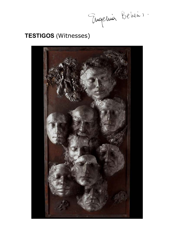Tugeluis Beheim

# **TESTIGOS** (Witnesses)

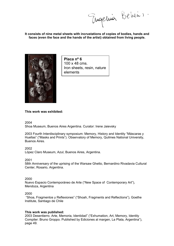Tugeluis Belieu

**It consists of nine metal sheets with incrustations of copies of bodies, hands and faces (even the face and the hands of the artist) obtained from living people.** 



**Placa nº 6**  100 x 48 cms. Iron sheets, resin, nature elements

# **This work was exhibited:**

2004

Shoa Museum, Buenos Aires Argentina. Curator: Irene Jaievsky

2003 Fourth Interdisciplinary symposium: Memory, History and Identity "Máscaras y Huellas" ("Masks and Prints"). Observatory of Memory, Quilmes National University, Buenos Aires.

2002

López Claro Museum, Azul, Buenos Aires, Argentina.

2001

58th Anniversary of the uprising of the Warsaw Ghetto, Bernardino Rivadavia Cultural Center, Rosario, Argentina.

2000

Nuevo Espacio Contemporáneo de Arte ("New Space of Contemporary Art"), Mendoza, Argentina

# 2000

 "Shoa, Fragmentos y Reflexiones" ("Shoah, Fragments and Reflections"), Goethe Institute, Santiago de Chile

# **This work was published:**

2003 Desentierro. Arte, Memoria, Identidad" ("Exhumation, Art, Memory, Identity Compiler: Bruno Groppo. Published by Ediciones al margen, La Plata, Argentina"), page 49.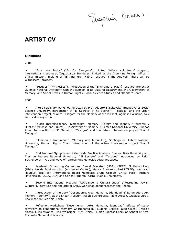Tugeluis Belieus.

# **ARTIST CV**

#### **Exhibitions**

2004

 "Arte para Todos" ("Art for Everyone"), United Nations volunteers' program, international meeting at Tegucigalpa, Honduras, invited by the Argentine Foreign Office in official mission, making of "El Antimuro, Habrá Testigos" ("The Antiwall, There will be Witnesses") project".

 "Testigos" ("Witnesses"), introduction of the "El Antimuro, Habrá Testigos" project at Quilmes National University with the support of its Cultural Department, the Observatory of Memory and Social Praxis in Human Rights, Social Science Studies and "Habitat" Board.

2003

 Interdisciplinary workshop, directed by Prof. Alberto Bialakovsky, Buenos Aires Social Science University, introduction of "El Secreto" ("The Secret"), "Testigos" and the urban intervention project, "Habrá Testigos" for the Memory of the Present, against Exclusion, talk with slide-projection.

 Fourth Interdisciplinary symposium: Memory, History and Identity "Máscaras y Huellas" ("Masks and Prints"). Observatory of Memory, Quilmes National University, Buenos Aires. Introduction of "El Secreto", "Testigos" and the urban intervention project "Habrá Testigos".

 "Memoria e Impunidad" ("Memory and Impunity"), Santiago del Estero National University, Human Rights Chair, introduction of the urban intervention project "Habrá Testigos".

 First National Symposium of Genocide Practice Analysis. Buenos Aires University and Tres de Febrero National University. "El Secreto" and "Testigos" introduced by Ralph Buchenborst – Art and ways of representing genocide social practices.

 Academic Organizing Committee: Daniel Feierstein (UBA-UNTREF), Guillermo Levy (UBA), Nélida Boulgourdjian (Armenian Center), Marisa Braylan (UBA-UNTREF), Hamurabi Noufouri (UNTREF). International Board Members: Bruno Groppo (CNRS; Paris), Richard Hovanissian (UCLA, USA) and Carlos Figueroa Ibarra (Puebla University).

 Second International Meeting "Recreando la Cultura Judía" ("Recreating Jewish Culture"), literature and fine arts at AMIA, workshop about representing Shoah.

 Introduction of the book "Desentierro. Arte, Memoria, Identidad" ("Exhumation, Art, Memory, Identity"), at the Shoah Museum, Ralph Bucherborst, Pablo Dreizik, Graciela Lurati. Coordination: Graciela Jinich.

 Reflection workshop: "Desentierro , Arte, Memoria, Identidad", effects of stateterrorism on generational memory. Coordinated by: Eugenia Bekeris, Juan Gelosi, Graciela Massa, Luisa Vivanco, Elsa Wainziger, "Art, Ethics, Human Rights" Chair, at School of Arts-Tucumán National University.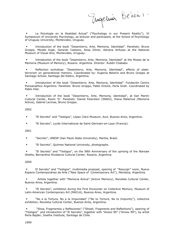Tugeluis Beheim

 La Psicología en la Realidad Actual" ("Psychology in our Present Reality"), VI Symposium of University Psychology, as lecturer and participant, at the School of Psychology of Uruguay University, Montevideo, Uruguay.

 Introduction of the book "Desentierro, Arte, Memoria, Identidad". Panelists: Bruno Groppo, Moisés Kijak, Gerardo Caetano, Rosa Zitner, Adriana Anfusso at the National Museum of Visual Arts, Montevideo, Uruguay..

 Introduction of the book "Desentierro, Arte, Memoria, Identidad" at the Museo de la Memoria (Museum of Memory), Rosario. Argentina. Director: Rubén Chababo.

 Reflection workshop: "Desentierro, Arte, Memoria, Identidad", effects of stateterrorism on generational memory. Coordinated by: Eugenia Bekeris and Bruno Groppo at Santiago School, Santiago del Estero, Argentina.

 Introduction of the book "Desentierro, Arte, Memoria, Identidad". Fundación Centro Psicoanalítico Argentino. Panelists: Bruno Groppo, Pablo Dreizik, Perla Sneh. Coordinated by Pablo Vilar.

 Introduction of the book "Desentierro, Arte, Memoria, Identidad", at San Martín Cultural Center, Room 'D'. Panelists: Daniel Feierstein (INADI), Diana Malamud (Memoria Activa), Gabriel Levinas, Bruno Groppo.

# 2002

- "El Secreto" and "Testigos", López Claro Museum, Azul, Buenos Aires, Argentina.
- "El Secreto", Lycée International de Saint-Germain-en-Laye (Francia).

# 2001

- "Secreto", UNESP (San Paulo State University), Marilia, Brasil.
- **El Secreto", Quilmes National University, photographs.**

 "El Secreto" and "Testigos", on the 58th Anniversary of the uprising of the Warsaw Ghetto, Bernardino Rivadavia Cultural Center, Rosario, Argentina.

# 2000

 El Secreto" and "Testigos", multimedia proposal, opening of "Resurgir" room, Nuevo Espacio Contemporáneo de Arte ("New Space of Contemporary Art"), Mendoza, Argentina.

 Artists together with "Memoria Activa" (Active Memory), Recoleta Cultural Center, Buenos Aires, Argentina.

 "El Secreto", exhibition during the First Encounter on Collective Memory, Museum of Latin-American Contemporary Art (MACLA), Buenos Aires, Argentina.

 "No a la Tortura, No a la Impunidad" ("No to Torture, No to Impunity"), collective exhibition, Recoleta Cultural Center, Buenos Aires, Argentina.

 "Shoa, Fragmentos y Reflexiones" ("Shoah, Fragments and Reflections"), opening of "Testigos" and introduction of "El Secreto", together with "Anexo 99" ("Annex 99"), by artist Perla Bajder, Goethe Institute, Santiago de Chile.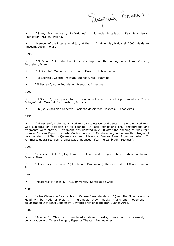Tugeluis Belieu

 "Shoa, Fragmentos y Reflexiones", multimedia installation, Kazimierz Jewish Foundation, Krakow, Poland.

 Member of the international jury at the VI Art-Triennial, Maidanek 2000, Maidanek Museum, Lublin, Poland.

#### 1998

 "El Secreto", introduction of the videotape and the catalog-book at Yad-Vashem, Jerusalem, Israel.

- "El Secreto", Maidanek Death-Camp Museum, Lublin, Poland.
- "El Secreto", Goethe Institute, Buenos Aires, Argentina.
- **El Secreto", Auge Foundation, Mendoza, Argentina.**

#### 1997

 "El Secreto", video presentado e incluído en los archivos del Departamento de Cine y Fotografía del Museo de Yad-Vashem, Jerusalén.

Dibujos, exposición colectiva, Sociedad de Artistas Plásticos, Buenos Aires.

#### 1995

 "El Secreto", multimedia installation, Recoleta Cultural Center. The whole installation was exhibited on occasion of its opening. In later exhibitions only photographs and fragments were shown. A fragment was donated in 2000 after the opening of "Resurgir" room at "Nuevo Espacio de Arte Contemporáneo", Mendoza, Argentina. Another fragment was donated in 2004 to Quilmes National University, Buenos Aires, Argentina, when "El Antimuro, Habrá Testigos" project was announced, after the exhibition "Testigos".

# 1993

 "Vuelo sin Orillas" ("Flight with no shores"), drawings, National Exhibition Rooms, Buenos Aires.

 "Máscaras y Movimiento" ("Masks and Movement"), Recoleta Cultural Center, Buenos Aires.

1992

"Máscaras" ("Masks"), ARCIS University, Santiago de Chile.

# 1989

 "Y tus Cielos que Están sobre tu Cabeza Serán de Metal..." ("And the Skies over your Head will be Made of Metal..."), multimedia show, masks, music and movement, in collaboration with Ethel Bendersky, Cervantes National Theater, Buenos Aires.

#### 1987

 "Ademán" ("Gesture"), multimedia show, masks, music and movement, in collaboration with Teresa Duggan, Espacios Theater, Buenos Aires.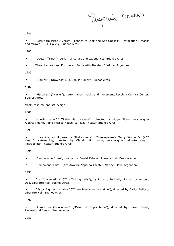Tugeluis Beheim

1986

 "Ecos para Mirar y Verse" ("Echoes to Look and See Oneself"), installation ( masks and mirrors), DSG Gallery, Buenos Aires.

1985

- "Dueto" ("Duet"), performance, art and experiences, Buenos Aires.
- Theatrical National Encounter, San Martín Theater, Córdoba, Argentina.

1983

"Dibujos" ("Drawings"), La Capilla Gallery, Buenos Aires.

#### 1982

 "Máscaras" ("Masks"), performance, masks and movement, Recoleta Cultural Center, Buenos Aires.

Mask, costume and set-design

2001

 "Huesito caracú" ("Little Marrow-bone"), directed by Hugo Midón, set-designer Alberto Negrín, Pablo Picasso House, La Plaza Theater, Buenos Aires.

1999

 " Las Alegres Mujeres de Shakespeare" ("Shakespeare's Merry Women"), (ACE Award). set-making, directed by Claudio Hochmann, set-designer: Alberto Negrín. Metropolitan Theater, Buenos Aires.

1994

- "Cambalache Show", directed by Daniel Zabala, Liberarte Hall, Buenos Aires.
- "Romeo and Juliet", (Ace Award), Neptuno Theater, Mar del Plata, Argentina.

# 1993

 "La Conversadora" ("The Talking Lady"), by Roberto Perinelli, directed by Antonio Ugo, Liberarte Hall, Buenos Aires.

 "Estos Bigotes son Míos" ("These Mustaches are Mine"), directed by Carlos Belloso, Liberarte Hall, Buenos Aires.

# 1992

 "Aurora en Copacabana" ("Dawn at Copacabana"), directed by Hernán Gené, Parakultural Center, Buenos Aires.

# 1989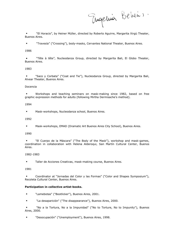Tugeluis Beheim

 "El Horacio", by Heiner Müller, directed by Roberto Aguirre, Margarita Xirgù Theater, Buenos Aires.

"Travesía" ("Crossing"), body-masks, Cervantes National Theater, Buenos Aires.

1986

• "Tête à tête", Nucleodanza Group, directed by Margarita Bali, El Globo Theater, Buenos Aires.

# 1983

 "Saco y Corbata" ("Coat and Tie"), Nucleodanza Group, directed by Margarita Bali, Alvear Theater, Buenos Aires.

# Docencia

 Workshops and teaching seminars on mask-making since 1982, based on free graphic expression methods for adults (following Mirtha Dermisache's method).

# 1994

**Mask-workshops, Nucleodanza school, Buenos Aires.** 

# 1992

Mask-workshops, EMAD (Dramatic Art Buenos Aires City School), Buenos Aires.

# 1990

 "El Cuerpo de la Máscara" ("The Body of the Mask"), workshop and mask-games, coordination in collaboration with Helena Alderoqui, San Martín Cultural Center, Buenos Aires.

# 1982-1983

Taller de Acciones Creativas, mask-making course, Buenos Aires.

# 1981

 Coordinator at "Jornadas del Color y las Formas" ("Color and Shapes Symposium"), Recoleta Cultural Center, Buenos Aires.

# **Participation in collective artist-books.**

- "Lamebotas" ("Bootlicker"), Buenos Aires, 2001.
- "La desaparición" ("The disappearance"), Buenos Aires, 2000.

 "No a la Tortura, No a la Impunidad" ("No to Torture, No to Impunity"), Buenos Aires, 2000.

"Desocupación" ("Unemployment"), Buenos Aires, 1998.